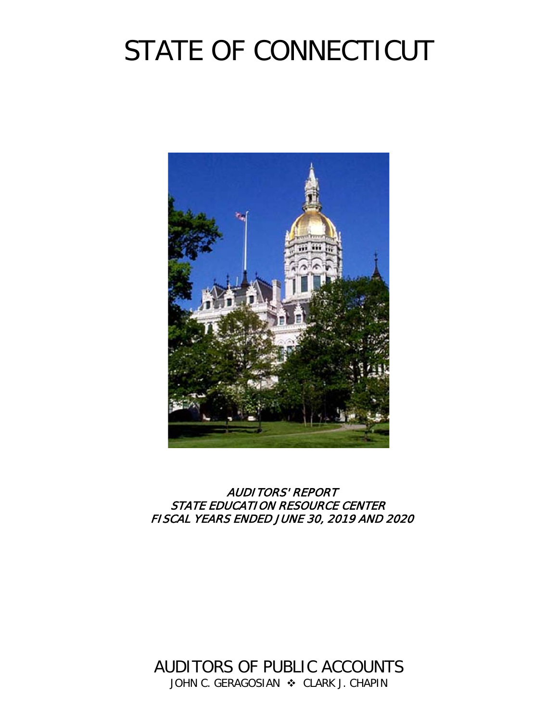# STATE OF CONNECTICUT



# AUDITORS' REPORT STATE EDUCATION RESOURCE CENTER FISCAL YEARS ENDED JUNE 30, 2019 AND 2020

AUDITORS OF PUBLIC ACCOUNTS JOHN C. GERAGOSIAN  $\cdot$  CLARK J. CHAPIN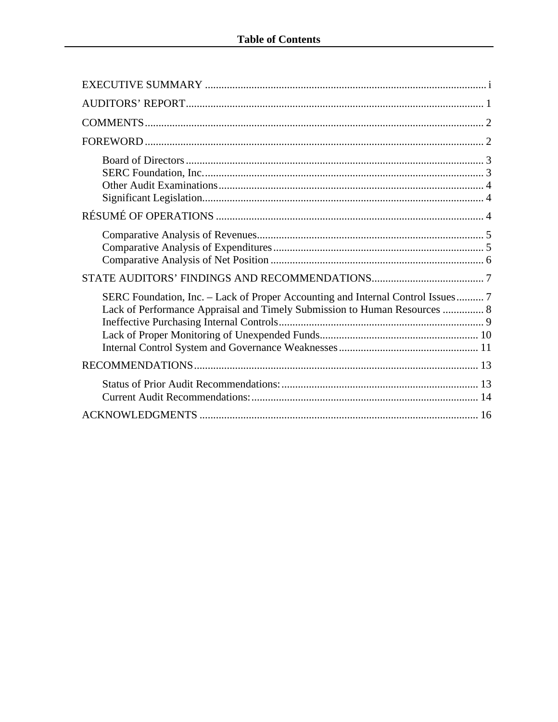| SERC Foundation, Inc. – Lack of Proper Accounting and Internal Control Issues 7<br>Lack of Performance Appraisal and Timely Submission to Human Resources  8 |
|--------------------------------------------------------------------------------------------------------------------------------------------------------------|
|                                                                                                                                                              |
|                                                                                                                                                              |
|                                                                                                                                                              |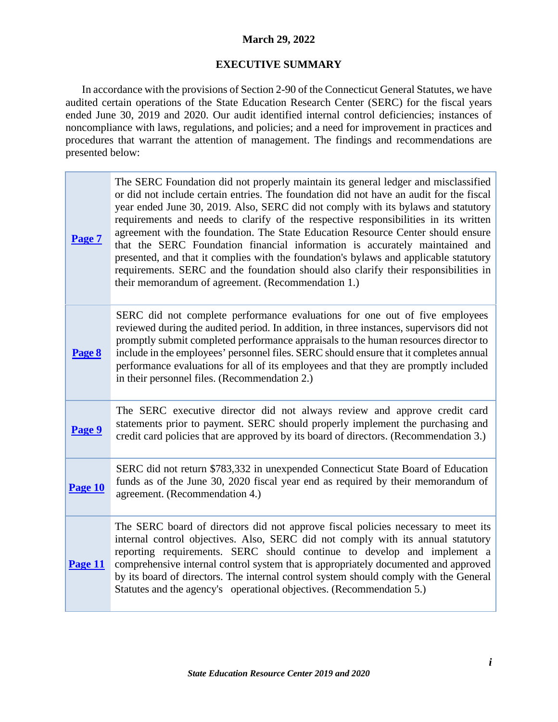# **March 29, 2022**

#### **EXECUTIVE SUMMARY**

<span id="page-2-0"></span>In accordance with the provisions of Section 2-90 of the Connecticut General Statutes, we have audited certain operations of the State Education Research Center (SERC) for the fiscal years ended June 30, 2019 and 2020. Our audit identified internal control deficiencies; instances of noncompliance with laws, regulations, and policies; and a need for improvement in practices and procedures that warrant the attention of management. The findings and recommendations are presented below:

| Page 7  | The SERC Foundation did not properly maintain its general ledger and misclassified<br>or did not include certain entries. The foundation did not have an audit for the fiscal<br>year ended June 30, 2019. Also, SERC did not comply with its bylaws and statutory<br>requirements and needs to clarify of the respective responsibilities in its written<br>agreement with the foundation. The State Education Resource Center should ensure<br>that the SERC Foundation financial information is accurately maintained and<br>presented, and that it complies with the foundation's bylaws and applicable statutory<br>requirements. SERC and the foundation should also clarify their responsibilities in<br>their memorandum of agreement. (Recommendation 1.) |
|---------|--------------------------------------------------------------------------------------------------------------------------------------------------------------------------------------------------------------------------------------------------------------------------------------------------------------------------------------------------------------------------------------------------------------------------------------------------------------------------------------------------------------------------------------------------------------------------------------------------------------------------------------------------------------------------------------------------------------------------------------------------------------------|
| Page 8  | SERC did not complete performance evaluations for one out of five employees<br>reviewed during the audited period. In addition, in three instances, supervisors did not<br>promptly submit completed performance appraisals to the human resources director to<br>include in the employees' personnel files. SERC should ensure that it completes annual<br>performance evaluations for all of its employees and that they are promptly included<br>in their personnel files. (Recommendation 2.)                                                                                                                                                                                                                                                                  |
| Page 9  | The SERC executive director did not always review and approve credit card<br>statements prior to payment. SERC should properly implement the purchasing and<br>credit card policies that are approved by its board of directors. (Recommendation 3.)                                                                                                                                                                                                                                                                                                                                                                                                                                                                                                               |
| Page 10 | SERC did not return \$783,332 in unexpended Connecticut State Board of Education<br>funds as of the June 30, 2020 fiscal year end as required by their memorandum of<br>agreement. (Recommendation 4.)                                                                                                                                                                                                                                                                                                                                                                                                                                                                                                                                                             |
| Page 11 | The SERC board of directors did not approve fiscal policies necessary to meet its<br>internal control objectives. Also, SERC did not comply with its annual statutory<br>reporting requirements. SERC should continue to develop and implement a<br>comprehensive internal control system that is appropriately documented and approved<br>by its board of directors. The internal control system should comply with the General<br>Statutes and the agency's operational objectives. (Recommendation 5.)                                                                                                                                                                                                                                                          |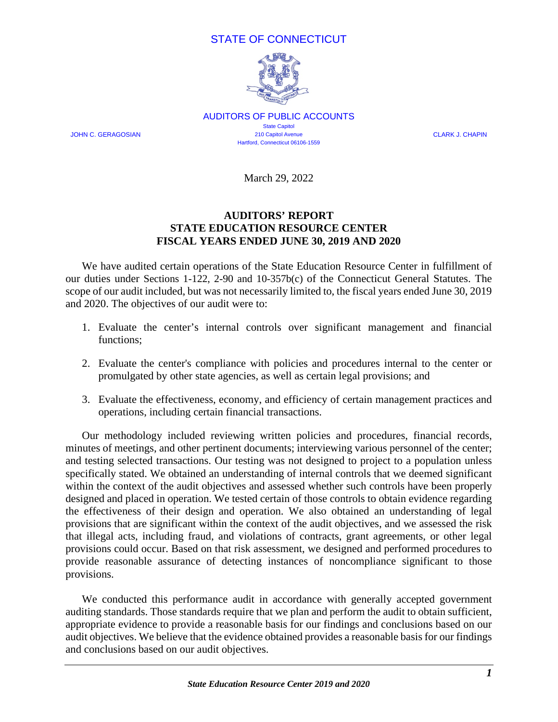# STATE OF CONNECTICUT



AUDITORS OF PUBLIC ACCOUNTS State Capitol JOHN C. GERAGOSIAN 210 Capitol Avenue CLARK J. CHAPIN Hartford, Connecticut 06106-1559

March 29, 2022

# **AUDITORS' REPORT STATE EDUCATION RESOURCE CENTER FISCAL YEARS ENDED JUNE 30, 2019 AND 2020**

<span id="page-3-0"></span>We have audited certain operations of the State Education Resource Center in fulfillment of our duties under Sections 1-122, 2-90 and 10-357b(c) of the Connecticut General Statutes. The scope of our audit included, but was not necessarily limited to, the fiscal years ended June 30, 2019 and 2020. The objectives of our audit were to:

- 1. Evaluate the center's internal controls over significant management and financial functions;
- 2. Evaluate the center's compliance with policies and procedures internal to the center or promulgated by other state agencies, as well as certain legal provisions; and
- 3. Evaluate the effectiveness, economy, and efficiency of certain management practices and operations, including certain financial transactions.

Our methodology included reviewing written policies and procedures, financial records, minutes of meetings, and other pertinent documents; interviewing various personnel of the center; and testing selected transactions. Our testing was not designed to project to a population unless specifically stated. We obtained an understanding of internal controls that we deemed significant within the context of the audit objectives and assessed whether such controls have been properly designed and placed in operation. We tested certain of those controls to obtain evidence regarding the effectiveness of their design and operation. We also obtained an understanding of legal provisions that are significant within the context of the audit objectives, and we assessed the risk that illegal acts, including fraud, and violations of contracts, grant agreements, or other legal provisions could occur. Based on that risk assessment, we designed and performed procedures to provide reasonable assurance of detecting instances of noncompliance significant to those provisions.

We conducted this performance audit in accordance with generally accepted government auditing standards. Those standards require that we plan and perform the audit to obtain sufficient, appropriate evidence to provide a reasonable basis for our findings and conclusions based on our audit objectives. We believe that the evidence obtained provides a reasonable basis for our findings and conclusions based on our audit objectives.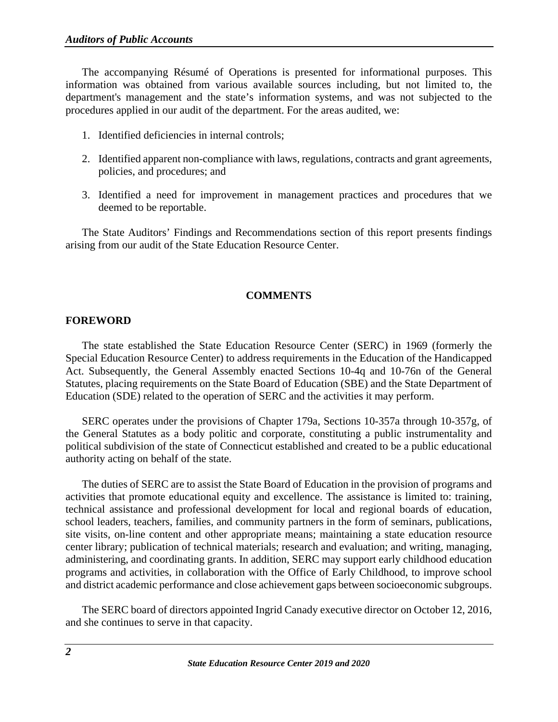The accompanying Résumé of Operations is presented for informational purposes. This information was obtained from various available sources including, but not limited to, the department's management and the state's information systems, and was not subjected to the procedures applied in our audit of the department. For the areas audited, we:

- 1. Identified deficiencies in internal controls;
- 2. Identified apparent non-compliance with laws, regulations, contracts and grant agreements, policies, and procedures; and
- 3. Identified a need for improvement in management practices and procedures that we deemed to be reportable.

The State Auditors' Findings and Recommendations section of this report presents findings arising from our audit of the State Education Resource Center.

#### **COMMENTS**

#### <span id="page-4-1"></span><span id="page-4-0"></span>**FOREWORD**

The state established the State Education Resource Center (SERC) in 1969 (formerly the Special Education Resource Center) to address requirements in the Education of the Handicapped Act. Subsequently, the General Assembly enacted Sections 10-4q and 10-76n of the General Statutes, placing requirements on the State Board of Education (SBE) and the State Department of Education (SDE) related to the operation of SERC and the activities it may perform.

SERC operates under the provisions of Chapter 179a, Sections 10-357a through 10-357g, of the General Statutes as a body politic and corporate, constituting a public instrumentality and political subdivision of the state of Connecticut established and created to be a public educational authority acting on behalf of the state.

The duties of SERC are to assist the State Board of Education in the provision of programs and activities that promote educational equity and excellence. The assistance is limited to: training, technical assistance and professional development for local and regional boards of education, school leaders, teachers, families, and community partners in the form of seminars, publications, site visits, on-line content and other appropriate means; maintaining a state education resource center library; publication of technical materials; research and evaluation; and writing, managing, administering, and coordinating grants. In addition, SERC may support early childhood education programs and activities, in collaboration with the Office of Early Childhood, to improve school and district academic performance and close achievement gaps between socioeconomic subgroups.

The SERC board of directors appointed Ingrid Canady executive director on October 12, 2016, and she continues to serve in that capacity.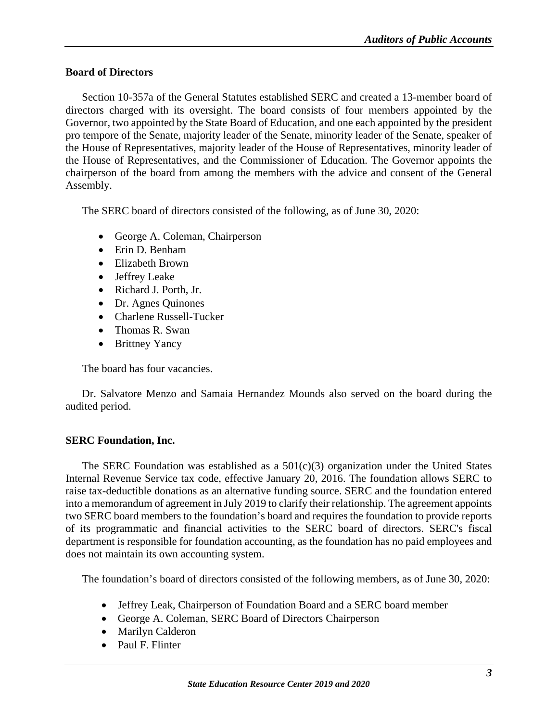#### <span id="page-5-0"></span>**Board of Directors**

Section 10-357a of the General Statutes established SERC and created a 13-member board of directors charged with its oversight. The board consists of four members appointed by the Governor, two appointed by the State Board of Education, and one each appointed by the president pro tempore of the Senate, majority leader of the Senate, minority leader of the Senate, speaker of the House of Representatives, majority leader of the House of Representatives, minority leader of the House of Representatives, and the Commissioner of Education. The Governor appoints the chairperson of the board from among the members with the advice and consent of the General Assembly.

The SERC board of directors consisted of the following, as of June 30, 2020:

- George A. Coleman, Chairperson
- Erin D. Benham
- Elizabeth Brown
- Jeffrey Leake
- Richard J. Porth, Jr.
- Dr. Agnes Quinones
- Charlene Russell-Tucker
- Thomas R. Swan
- Brittney Yancy

The board has four vacancies.

Dr. Salvatore Menzo and Samaia Hernandez Mounds also served on the board during the audited period.

# <span id="page-5-1"></span>**SERC Foundation, Inc.**

The SERC Foundation was established as a  $501(c)(3)$  organization under the United States Internal Revenue Service tax code, effective January 20, 2016. The foundation allows SERC to raise tax-deductible donations as an alternative funding source. SERC and the foundation entered into a memorandum of agreement in July 2019 to clarify their relationship. The agreement appoints two SERC board members to the foundation's board and requires the foundation to provide reports of its programmatic and financial activities to the SERC board of directors. SERC's fiscal department is responsible for foundation accounting, as the foundation has no paid employees and does not maintain its own accounting system.

The foundation's board of directors consisted of the following members, as of June 30, 2020:

- Jeffrey Leak, Chairperson of Foundation Board and a SERC board member
- George A. Coleman, SERC Board of Directors Chairperson
- Marilyn Calderon
- Paul F. Flinter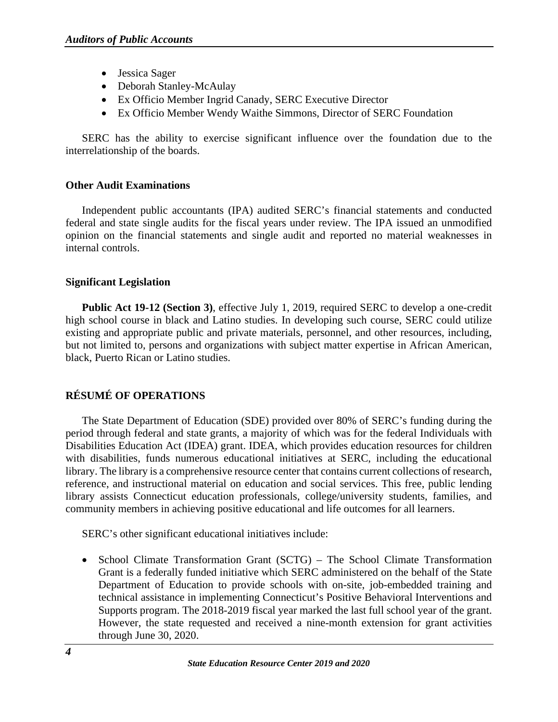- Jessica Sager
- Deborah Stanley-McAulay
- Ex Officio Member Ingrid Canady, SERC Executive Director
- Ex Officio Member Wendy Waithe Simmons, Director of SERC Foundation

SERC has the ability to exercise significant influence over the foundation due to the interrelationship of the boards.

# <span id="page-6-0"></span>**Other Audit Examinations**

Independent public accountants (IPA) audited SERC's financial statements and conducted federal and state single audits for the fiscal years under review. The IPA issued an unmodified opinion on the financial statements and single audit and reported no material weaknesses in internal controls.

# <span id="page-6-1"></span>**Significant Legislation**

**Public Act 19-12 (Section 3)**, effective July 1, 2019, required SERC to develop a one-credit high school course in black and Latino studies. In developing such course, SERC could utilize existing and appropriate public and private materials, personnel, and other resources, including, but not limited to, persons and organizations with subject matter expertise in African American, black, Puerto Rican or Latino studies.

# <span id="page-6-2"></span>**RÉSUMÉ OF OPERATIONS**

The State Department of Education (SDE) provided over 80% of SERC's funding during the period through federal and state grants, a majority of which was for the federal Individuals with Disabilities Education Act (IDEA) grant. IDEA, which provides education resources for children with disabilities, funds numerous educational initiatives at SERC, including the educational library. The library is a comprehensive resource center that contains current collections of research, reference, and instructional material on education and social services. This free, public lending library assists Connecticut education professionals, college/university students, families, and community members in achieving positive educational and life outcomes for all learners.

SERC's other significant educational initiatives include:

• School Climate Transformation Grant (SCTG) – The School Climate Transformation Grant is a federally funded initiative which SERC administered on the behalf of the State Department of Education to provide schools with on-site, job-embedded training and technical assistance in implementing Connecticut's Positive Behavioral Interventions and Supports program. The 2018-2019 fiscal year marked the last full school year of the grant. However, the state requested and received a nine-month extension for grant activities through June 30, 2020.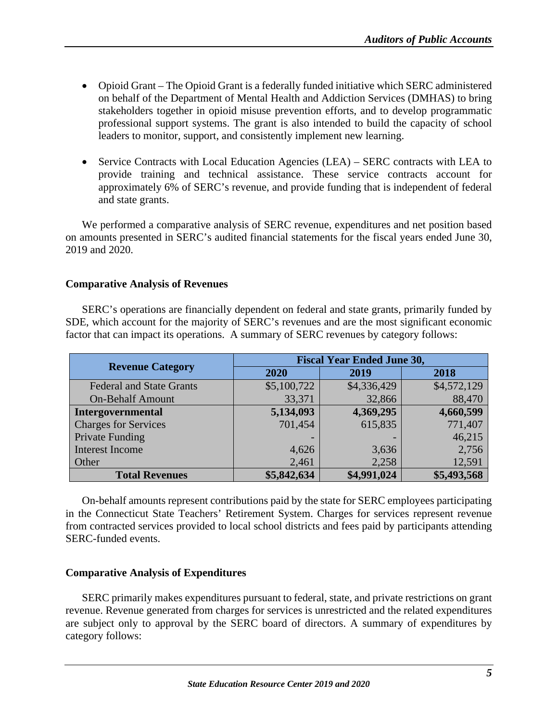- Opioid Grant The Opioid Grant is a federally funded initiative which SERC administered on behalf of the Department of Mental Health and Addiction Services (DMHAS) to bring stakeholders together in opioid misuse prevention efforts, and to develop programmatic professional support systems. The grant is also intended to build the capacity of school leaders to monitor, support, and consistently implement new learning.
- Service Contracts with Local Education Agencies (LEA) SERC contracts with LEA to provide training and technical assistance. These service contracts account for approximately 6% of SERC's revenue, and provide funding that is independent of federal and state grants.

We performed a comparative analysis of SERC revenue, expenditures and net position based on amounts presented in SERC's audited financial statements for the fiscal years ended June 30, 2019 and 2020.

#### <span id="page-7-0"></span>**Comparative Analysis of Revenues**

SERC's operations are financially dependent on federal and state grants, primarily funded by SDE, which account for the majority of SERC's revenues and are the most significant economic factor that can impact its operations. A summary of SERC revenues by category follows:

|                                 | <b>Fiscal Year Ended June 30,</b> |             |             |
|---------------------------------|-----------------------------------|-------------|-------------|
| <b>Revenue Category</b>         | 2020                              | 2019        | 2018        |
| <b>Federal and State Grants</b> | \$5,100,722                       | \$4,336,429 | \$4,572,129 |
| <b>On-Behalf Amount</b>         | 33,371                            | 32,866      | 88,470      |
| Intergovernmental               | 5,134,093                         | 4,369,295   | 4,660,599   |
| <b>Charges for Services</b>     | 701,454                           | 615,835     | 771,407     |
| <b>Private Funding</b>          |                                   |             | 46,215      |
| <b>Interest Income</b>          | 4,626                             | 3,636       | 2,756       |
| Other                           | 2,461                             | 2,258       | 12,591      |
| <b>Total Revenues</b>           | \$5,842,634                       | \$4,991,024 | \$5,493,568 |

<span id="page-7-1"></span>On-behalf amounts represent contributions paid by the state for SERC employees participating in the Connecticut State Teachers' Retirement System. Charges for services represent revenue from contracted services provided to local school districts and fees paid by participants attending SERC-funded events.

#### **Comparative Analysis of Expenditures**

SERC primarily makes expenditures pursuant to federal, state, and private restrictions on grant revenue. Revenue generated from charges for services is unrestricted and the related expenditures are subject only to approval by the SERC board of directors. A summary of expenditures by category follows: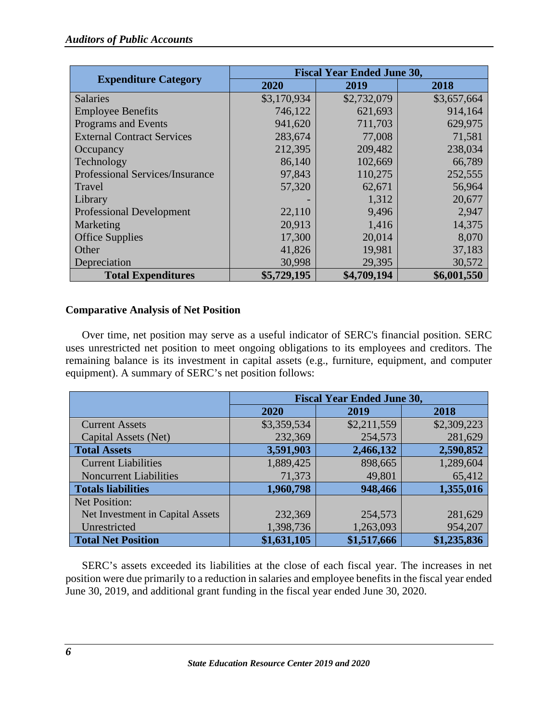|                                   | <b>Fiscal Year Ended June 30,</b> |             |             |
|-----------------------------------|-----------------------------------|-------------|-------------|
| <b>Expenditure Category</b>       | 2020                              | 2019        | 2018        |
| <b>Salaries</b>                   | \$3,170,934                       | \$2,732,079 | \$3,657,664 |
| <b>Employee Benefits</b>          | 746,122                           | 621,693     | 914,164     |
| Programs and Events               | 941,620                           | 711,703     | 629,975     |
| <b>External Contract Services</b> | 283,674                           | 77,008      | 71,581      |
| Occupancy                         | 212,395                           | 209,482     | 238,034     |
| Technology                        | 86,140                            | 102,669     | 66,789      |
| Professional Services/Insurance   | 97,843                            | 110,275     | 252,555     |
| Travel                            | 57,320                            | 62,671      | 56,964      |
| Library                           |                                   | 1,312       | 20,677      |
| <b>Professional Development</b>   | 22,110                            | 9,496       | 2,947       |
| Marketing                         | 20,913                            | 1,416       | 14,375      |
| <b>Office Supplies</b>            | 17,300                            | 20,014      | 8,070       |
| Other                             | 41,826                            | 19,981      | 37,183      |
| Depreciation                      | 30,998                            | 29,395      | 30,572      |
| <b>Total Expenditures</b>         | \$5,729,195                       | \$4,709,194 | \$6,001,550 |

# <span id="page-8-0"></span>**Comparative Analysis of Net Position**

Over time, net position may serve as a useful indicator of SERC's financial position. SERC uses unrestricted net position to meet ongoing obligations to its employees and creditors. The remaining balance is its investment in capital assets (e.g., furniture, equipment, and computer equipment). A summary of SERC's net position follows:

|                                  | <b>Fiscal Year Ended June 30,</b> |             |             |
|----------------------------------|-----------------------------------|-------------|-------------|
|                                  | 2020                              | 2019        | 2018        |
| <b>Current Assets</b>            | \$3,359,534                       | \$2,211,559 | \$2,309,223 |
| Capital Assets (Net)             | 232,369                           | 254,573     | 281,629     |
| <b>Total Assets</b>              | 3,591,903                         | 2,466,132   | 2,590,852   |
| <b>Current Liabilities</b>       | 1,889,425                         | 898,665     | 1,289,604   |
| <b>Noncurrent Liabilities</b>    | 71,373                            | 49,801      | 65,412      |
| <b>Totals liabilities</b>        | 1,960,798                         | 948,466     | 1,355,016   |
| Net Position:                    |                                   |             |             |
| Net Investment in Capital Assets | 232,369                           | 254,573     | 281,629     |
| Unrestricted                     | 1,398,736                         | 1,263,093   | 954,207     |
| <b>Total Net Position</b>        | \$1,631,105                       | \$1,517,666 | \$1,235,836 |

SERC's assets exceeded its liabilities at the close of each fiscal year. The increases in net position were due primarily to a reduction in salaries and employee benefits in the fiscal year ended June 30, 2019, and additional grant funding in the fiscal year ended June 30, 2020.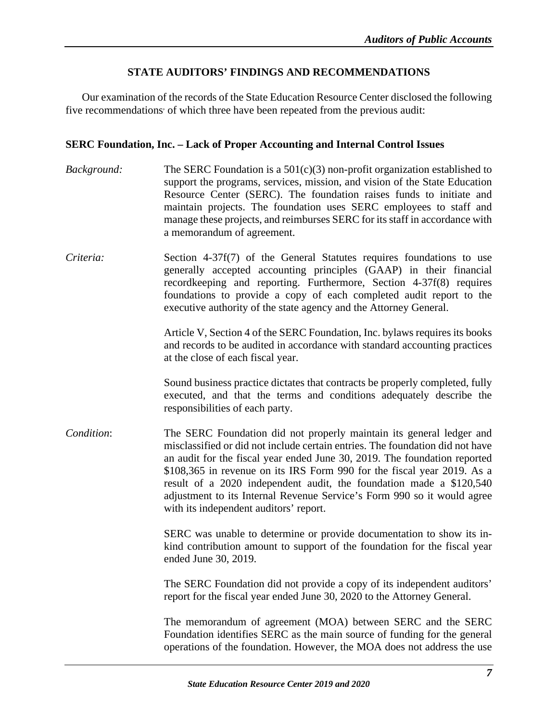# **STATE AUDITORS' FINDINGS AND RECOMMENDATIONS**

<span id="page-9-0"></span>Our examination of the records of the State Education Resource Center disclosed the following five recommendations of which three have been repeated from the previous audit:

#### <span id="page-9-1"></span>**SERC Foundation, Inc. – Lack of Proper Accounting and Internal Control Issues**

- *Background:* The SERC Foundation is a 501(c)(3) non-profit organization established to support the programs, services, mission, and vision of the State Education Resource Center (SERC). The foundation raises funds to initiate and maintain projects. The foundation uses SERC employees to staff and manage these projects, and reimburses SERC for its staff in accordance with a memorandum of agreement.
- *Criteria:* Section 4-37f(7) of the General Statutes requires foundations to use generally accepted accounting principles (GAAP) in their financial recordkeeping and reporting. Furthermore, Section 4-37f(8) requires foundations to provide a copy of each completed audit report to the executive authority of the state agency and the Attorney General.

Article V, Section 4 of the SERC Foundation, Inc. bylaws requires its books and records to be audited in accordance with standard accounting practices at the close of each fiscal year.

Sound business practice dictates that contracts be properly completed, fully executed, and that the terms and conditions adequately describe the responsibilities of each party.

*Condition*: The SERC Foundation did not properly maintain its general ledger and misclassified or did not include certain entries. The foundation did not have an audit for the fiscal year ended June 30, 2019. The foundation reported \$108,365 in revenue on its IRS Form 990 for the fiscal year 2019. As a result of a 2020 independent audit, the foundation made a \$120,540 adjustment to its Internal Revenue Service's Form 990 so it would agree with its independent auditors' report.

> SERC was unable to determine or provide documentation to show its inkind contribution amount to support of the foundation for the fiscal year ended June 30, 2019.

> The SERC Foundation did not provide a copy of its independent auditors' report for the fiscal year ended June 30, 2020 to the Attorney General.

> The memorandum of agreement (MOA) between SERC and the SERC Foundation identifies SERC as the main source of funding for the general operations of the foundation. However, the MOA does not address the use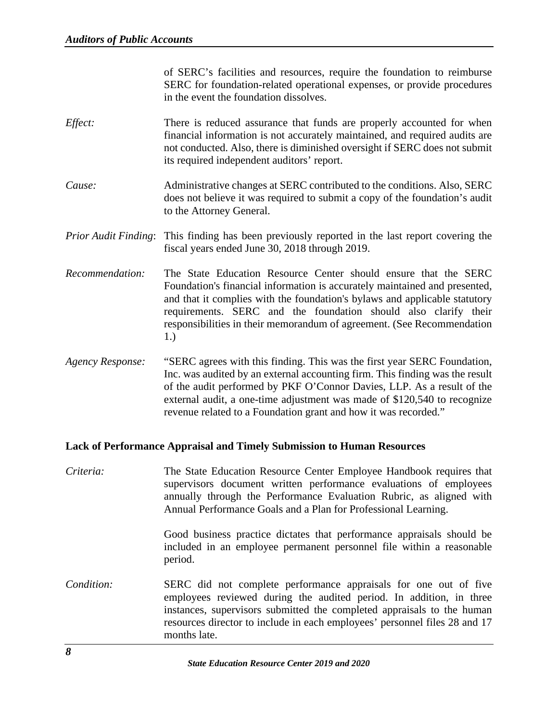of SERC's facilities and resources, require the foundation to reimburse SERC for foundation-related operational expenses, or provide procedures in the event the foundation dissolves.

- *Effect:* There is reduced assurance that funds are properly accounted for when financial information is not accurately maintained, and required audits are not conducted. Also, there is diminished oversight if SERC does not submit its required independent auditors' report.
- *Cause:* Administrative changes at SERC contributed to the conditions. Also, SERC does not believe it was required to submit a copy of the foundation's audit to the Attorney General.
- *Prior Audit Finding*: This finding has been previously reported in the last report covering the fiscal years ended June 30, 2018 through 2019.
- *Recommendation:* The State Education Resource Center should ensure that the SERC Foundation's financial information is accurately maintained and presented, and that it complies with the foundation's bylaws and applicable statutory requirements. SERC and the foundation should also clarify their responsibilities in their memorandum of agreement. (See Recommendation 1.)
- *Agency Response:* "SERC agrees with this finding. This was the first year SERC Foundation, Inc. was audited by an external accounting firm. This finding was the result of the audit performed by PKF O'Connor Davies, LLP. As a result of the external audit, a one-time adjustment was made of \$120,540 to recognize revenue related to a Foundation grant and how it was recorded."

#### <span id="page-10-0"></span>**Lack of Performance Appraisal and Timely Submission to Human Resources**

*Criteria:* The State Education Resource Center Employee Handbook requires that supervisors document written performance evaluations of employees annually through the Performance Evaluation Rubric, as aligned with Annual Performance Goals and a Plan for Professional Learning.

> Good business practice dictates that performance appraisals should be included in an employee permanent personnel file within a reasonable period.

*Condition:* SERC did not complete performance appraisals for one out of five employees reviewed during the audited period. In addition, in three instances, supervisors submitted the completed appraisals to the human resources director to include in each employees' personnel files 28 and 17 months late.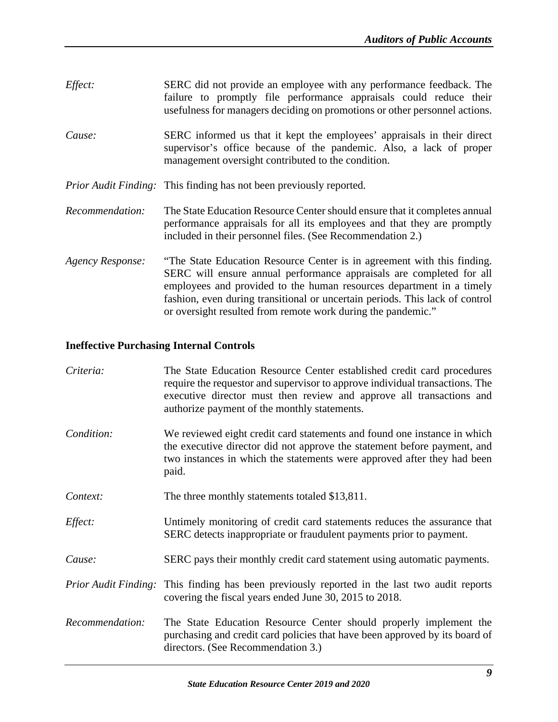| Effect:          | SERC did not provide an employee with any performance feedback. The<br>failure to promptly file performance appraisals could reduce their<br>usefulness for managers deciding on promotions or other personnel actions.                                                                                                                                                 |
|------------------|-------------------------------------------------------------------------------------------------------------------------------------------------------------------------------------------------------------------------------------------------------------------------------------------------------------------------------------------------------------------------|
| Cause:           | SERC informed us that it kept the employees' appraisals in their direct<br>supervisor's office because of the pandemic. Also, a lack of proper<br>management oversight contributed to the condition.                                                                                                                                                                    |
|                  | <i>Prior Audit Finding:</i> This finding has not been previously reported.                                                                                                                                                                                                                                                                                              |
| Recommendation:  | The State Education Resource Center should ensure that it completes annual<br>performance appraisals for all its employees and that they are promptly<br>included in their personnel files. (See Recommendation 2.)                                                                                                                                                     |
| Agency Response: | "The State Education Resource Center is in agreement with this finding.<br>SERC will ensure annual performance appraisals are completed for all<br>employees and provided to the human resources department in a timely<br>fashion, even during transitional or uncertain periods. This lack of control<br>or oversight resulted from remote work during the pandemic." |

# <span id="page-11-0"></span>**Ineffective Purchasing Internal Controls**

| Criteria:       | The State Education Resource Center established credit card procedures<br>require the requestor and supervisor to approve individual transactions. The<br>executive director must then review and approve all transactions and<br>authorize payment of the monthly statements. |
|-----------------|--------------------------------------------------------------------------------------------------------------------------------------------------------------------------------------------------------------------------------------------------------------------------------|
| Condition:      | We reviewed eight credit card statements and found one instance in which<br>the executive director did not approve the statement before payment, and<br>two instances in which the statements were approved after they had been<br>paid.                                       |
| Context:        | The three monthly statements totaled \$13,811.                                                                                                                                                                                                                                 |
| Effect:         | Untimely monitoring of credit card statements reduces the assurance that<br>SERC detects inappropriate or fraudulent payments prior to payment.                                                                                                                                |
| Cause:          | SERC pays their monthly credit card statement using automatic payments.                                                                                                                                                                                                        |
|                 | <i>Prior Audit Finding:</i> This finding has been previously reported in the last two audit reports<br>covering the fiscal years ended June 30, 2015 to 2018.                                                                                                                  |
| Recommendation: | The State Education Resource Center should properly implement the<br>purchasing and credit card policies that have been approved by its board of<br>directors. (See Recommendation 3.)                                                                                         |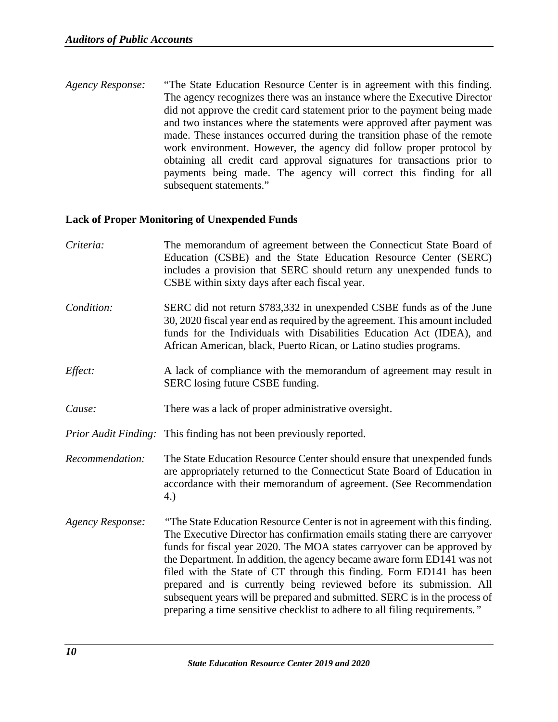*Agency Response:* "The State Education Resource Center is in agreement with this finding. The agency recognizes there was an instance where the Executive Director did not approve the credit card statement prior to the payment being made and two instances where the statements were approved after payment was made. These instances occurred during the transition phase of the remote work environment. However, the agency did follow proper protocol by obtaining all credit card approval signatures for transactions prior to payments being made. The agency will correct this finding for all subsequent statements."

#### <span id="page-12-0"></span>**Lack of Proper Monitoring of Unexpended Funds**

*Criteria:* The memorandum of agreement between the Connecticut State Board of Education (CSBE) and the State Education Resource Center (SERC) includes a provision that SERC should return any unexpended funds to CSBE within sixty days after each fiscal year. *Condition:* SERC did not return \$783,332 in unexpended CSBE funds as of the June 30, 2020 fiscal year end as required by the agreement. This amount included funds for the Individuals with Disabilities Education Act (IDEA), and African American, black, Puerto Rican, or Latino studies programs. *Effect:* A lack of compliance with the memorandum of agreement may result in SERC losing future CSBE funding. *Cause:* There was a lack of proper administrative oversight. *Prior Audit Finding:* This finding has not been previously reported. *Recommendation:* The State Education Resource Center should ensure that unexpended funds are appropriately returned to the Connecticut State Board of Education in accordance with their memorandum of agreement. (See Recommendation 4.) *Agency Response: "*The State Education Resource Center is not in agreement with this finding. The Executive Director has confirmation emails stating there are carryover funds for fiscal year 2020. The MOA states carryover can be approved by the Department. In addition, the agency became aware form ED141 was not filed with the State of CT through this finding. Form ED141 has been prepared and is currently being reviewed before its submission. All subsequent years will be prepared and submitted. SERC is in the process of preparing a time sensitive checklist to adhere to all filing requirements*."*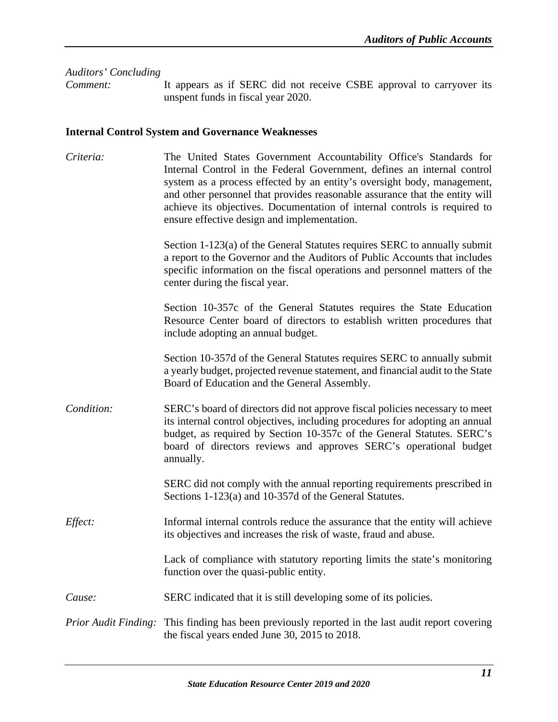<span id="page-13-0"></span>*Auditors' Concluding Comment:* It appears as if SERC did not receive CSBE approval to carryover its unspent funds in fiscal year 2020. **Internal Control System and Governance Weaknesses** *Criteria:* The United States Government Accountability Office's Standards for Internal Control in the Federal Government, defines an internal control system as a process effected by an entity's oversight body, management, and other personnel that provides reasonable assurance that the entity will achieve its objectives. Documentation of internal controls is required to ensure effective design and implementation. Section 1-123(a) of the General Statutes requires SERC to annually submit a report to the Governor and the Auditors of Public Accounts that includes specific information on the fiscal operations and personnel matters of the center during the fiscal year. Section 10-357c of the General Statutes requires the State Education Resource Center board of directors to establish written procedures that include adopting an annual budget. Section 10-357d of the General Statutes requires SERC to annually submit a yearly budget, projected revenue statement, and financial audit to the State Board of Education and the General Assembly. *Condition:* SERC's board of directors did not approve fiscal policies necessary to meet its internal control objectives, including procedures for adopting an annual budget, as required by Section 10-357c of the General Statutes. SERC's board of directors reviews and approves SERC's operational budget annually. SERC did not comply with the annual reporting requirements prescribed in Sections 1-123(a) and 10-357d of the General Statutes. *Effect:* Informal internal controls reduce the assurance that the entity will achieve its objectives and increases the risk of waste, fraud and abuse. Lack of compliance with statutory reporting limits the state's monitoring function over the quasi-public entity. *Cause:* SERC indicated that it is still developing some of its policies.

*Prior Audit Finding:* This finding has been previously reported in the last audit report covering the fiscal years ended June 30, 2015 to 2018.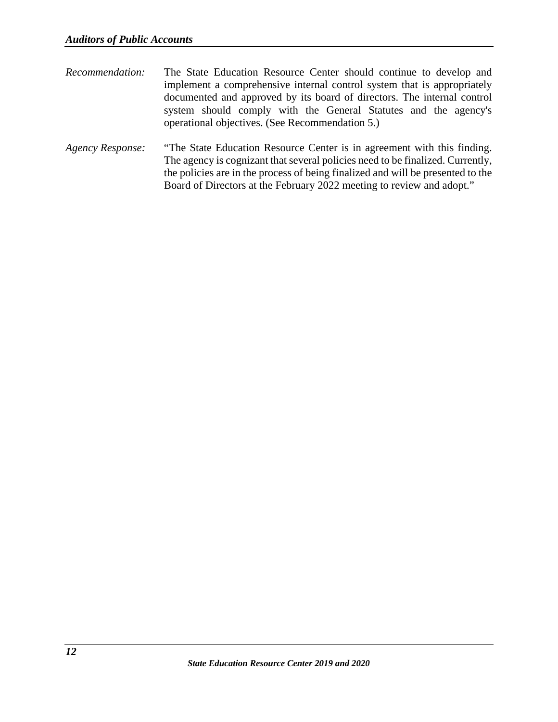- *Recommendation:* The State Education Resource Center should continue to develop and implement a comprehensive internal control system that is appropriately documented and approved by its board of directors. The internal control system should comply with the General Statutes and the agency's operational objectives. (See Recommendation 5.)
- *Agency Response:* "The State Education Resource Center is in agreement with this finding. The agency is cognizant that several policies need to be finalized. Currently, the policies are in the process of being finalized and will be presented to the Board of Directors at the February 2022 meeting to review and adopt."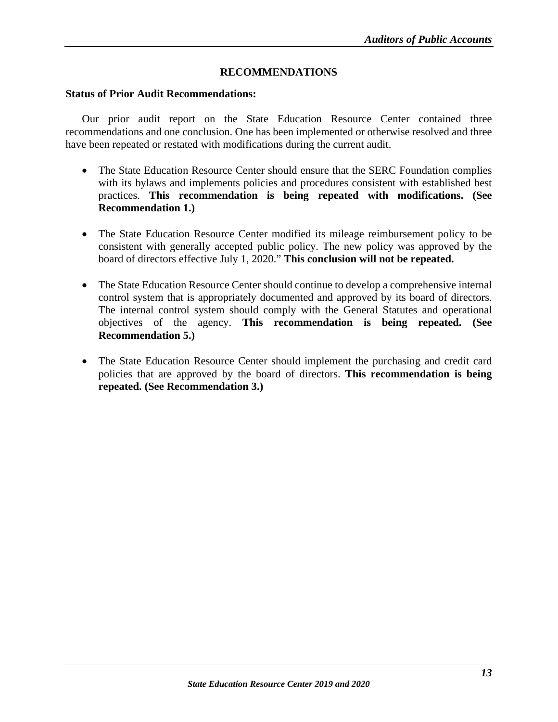# **RECOMMENDATIONS**

#### <span id="page-15-1"></span><span id="page-15-0"></span>**Status of Prior Audit Recommendations:**

Our prior audit report on the State Education Resource Center contained three recommendations and one conclusion. One has been implemented or otherwise resolved and three have been repeated or restated with modifications during the current audit.

- The State Education Resource Center should ensure that the SERC Foundation complies with its bylaws and implements policies and procedures consistent with established best practices. **This recommendation is being repeated with modifications. (See Recommendation 1.)**
- The State Education Resource Center modified its mileage reimbursement policy to be consistent with generally accepted public policy. The new policy was approved by the board of directors effective July 1, 2020." **This conclusion will not be repeated.**
- The State Education Resource Center should continue to develop a comprehensive internal control system that is appropriately documented and approved by its board of directors. The internal control system should comply with the General Statutes and operational objectives of the agency. **This recommendation is being repeated. (See Recommendation 5.)**
- <span id="page-15-2"></span>• The State Education Resource Center should implement the purchasing and credit card policies that are approved by the board of directors. **This recommendation is being repeated. (See Recommendation 3.)**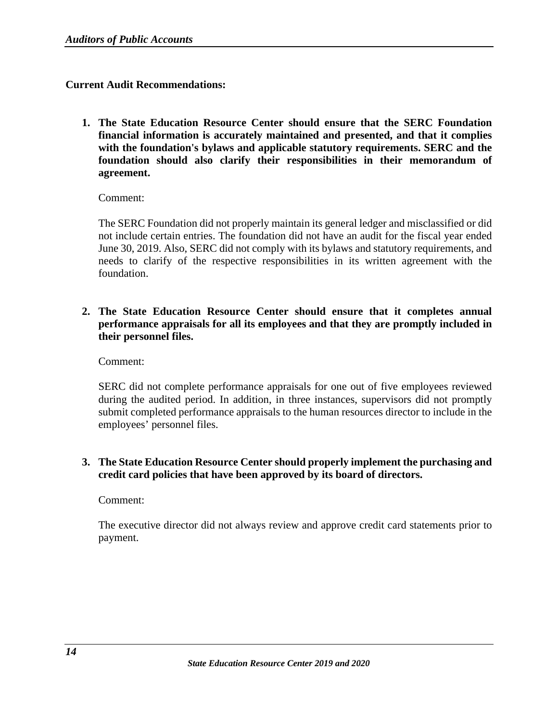# **Current Audit Recommendations:**

**1. The State Education Resource Center should ensure that the SERC Foundation financial information is accurately maintained and presented, and that it complies with the foundation's bylaws and applicable statutory requirements. SERC and the foundation should also clarify their responsibilities in their memorandum of agreement.**

Comment:

The SERC Foundation did not properly maintain its general ledger and misclassified or did not include certain entries. The foundation did not have an audit for the fiscal year ended June 30, 2019. Also, SERC did not comply with its bylaws and statutory requirements, and needs to clarify of the respective responsibilities in its written agreement with the foundation.

**2. The State Education Resource Center should ensure that it completes annual performance appraisals for all its employees and that they are promptly included in their personnel files.**

Comment:

SERC did not complete performance appraisals for one out of five employees reviewed during the audited period. In addition, in three instances, supervisors did not promptly submit completed performance appraisals to the human resources director to include in the employees' personnel files.

# **3. The State Education Resource Center should properly implement the purchasing and credit card policies that have been approved by its board of directors.**

Comment:

The executive director did not always review and approve credit card statements prior to payment.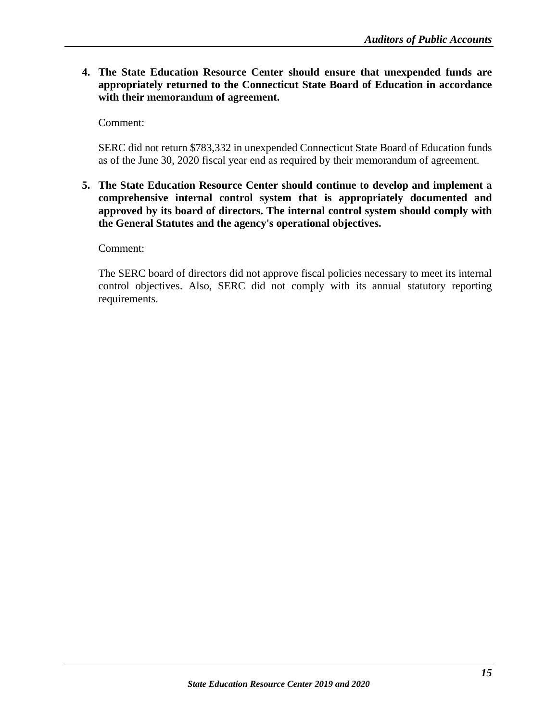**4. The State Education Resource Center should ensure that unexpended funds are appropriately returned to the Connecticut State Board of Education in accordance with their memorandum of agreement.**

Comment:

SERC did not return \$783,332 in unexpended Connecticut State Board of Education funds as of the June 30, 2020 fiscal year end as required by their memorandum of agreement.

**5. The State Education Resource Center should continue to develop and implement a comprehensive internal control system that is appropriately documented and approved by its board of directors. The internal control system should comply with the General Statutes and the agency's operational objectives.**

Comment:

The SERC board of directors did not approve fiscal policies necessary to meet its internal control objectives. Also, SERC did not comply with its annual statutory reporting requirements.